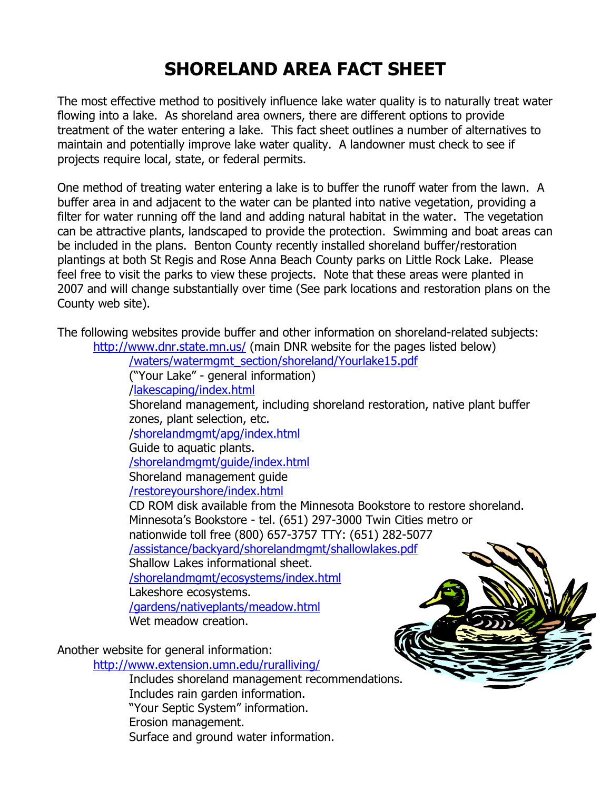## **SHORELAND AREA FACT SHEET**

The most effective method to positively influence lake water quality is to naturally treat water flowing into a lake. As shoreland area owners, there are different options to provide treatment of the water entering a lake. This fact sheet outlines a number of alternatives to maintain and potentially improve lake water quality. A landowner must check to see if projects require local, state, or federal permits.

One method of treating water entering a lake is to buffer the runoff water from the lawn. A buffer area in and adjacent to the water can be planted into native vegetation, providing a filter for water running off the land and adding natural habitat in the water. The vegetation can be attractive plants, landscaped to provide the protection. Swimming and boat areas can be included in the plans. Benton County recently installed shoreland buffer/restoration plantings at both St Regis and Rose Anna Beach County parks on Little Rock Lake. Please feel free to visit the parks to view these projects. Note that these areas were planted in 2007 and will change substantially over time (See park locations and restoration plans on the County web site).

The following websites provide buffer and other information on shoreland-related subjects:

<http://www.dnr.state.mn.us/> (main DNR website for the pages listed below) [/waters/watermgmt\\_section/shoreland/Yourlake15.pdf](http://files.dnr.state.mn.us/waters/watermgmt_section/shoreland/Yourlake15.pdf) ("Your Lake" - general information) [/lakescaping/index.html](http://www.dnr.state.mn.us/lakescaping/index.html) Shoreland management, including shoreland restoration, native plant buffer zones, plant selection, etc. [/shorelandmgmt/apg/index.html](http://www.dnr.state.mn.us/shorelandmgmt/apg/index.html) Guide to aquatic plants. [/shorelandmgmt/guide/index.html](http://www.dnr.state.mn.us/shorelandmgmt/guide/index.html) Shoreland management guide [/restoreyourshore/index.html](http://www.dnr.state.mn.us/restoreyourshore/index.html) CD ROM disk available from the Minnesota Bookstore to restore shoreland. [Minnesota's Bookstore](http://www.minnesotasbookstore.com/) - tel. (651) 297-3000 Twin Cities metro or nationwide toll free (800) 657-3757 TTY: (651) 282-5077 [/assistance/backyard/shorelandmgmt/shallowlakes.pdf](http://files.dnr.state.mn.us/assistance/backyard/shorelandmgmt/shallowlakes.pdf) Shallow Lakes informational sheet. [/shorelandmgmt/ecosystems/index.html](http://www.dnr.state.mn.us/shorelandmgmt/ecosystems/index.html) Lakeshore ecosystems. [/gardens/nativeplants/meadow.html](http://www.dnr.state.mn.us/gardens/nativeplants/meadow.html) Wet meadow creation.

Another website for general information:

<http://www.extension.umn.edu/ruralliving/>

Includes shoreland management recommendations. Includes rain garden information. "Your Septic System" information. Erosion management. Surface and ground water information.